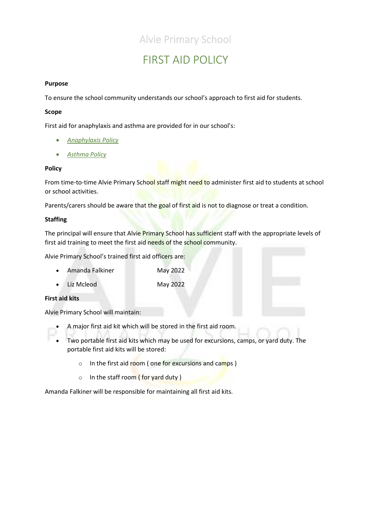### Alvie Primary School

# FIRST AID POLICY

### **Purpose**

To ensure the school community understands our school's approach to first aid for students.

### **Scope**

First aid for anaphylaxis and asthma are provided for in our school's:

- *[Anaphylaxis Policy](file://///6201AFS01/Users/POLICIES/To%20be%20updated/Anaphylaxis%20Policy%202019.pdf)*
- *[Asthma Policy](file://///6201AFS01/Users/POLICIES/To%20be%20updated/Asthma%20Policy%202019.pdf)*

### **Policy**

From time-to-time Alvie Primary School staff might need to administer first aid to students at school or school activities.

Parents/carers should be aware that the goal of first aid is not to diagnose or treat a condition.

### **Staffing**

The principal will ensure that Alvie Primary School has sufficient staff with the appropriate levels of first aid training to meet the first aid needs of the school community.

Alvie Primary School's trained first aid officers are:

- Amanda Falkiner May 2022
- Liz Mcleod May 2022

### **First aid kits**

Alvie Primary School will maintain:

- A major first aid kit which will be stored in the first aid room.
- Two portable first aid kits which may be used for excursions, camps, or yard duty. The portable first aid kits will be stored:
	- o In the first aid room (one for excursions and camps)
	- $\circ$  In the staff room ( for yard duty )

Amanda Falkiner will be responsible for maintaining all first aid kits.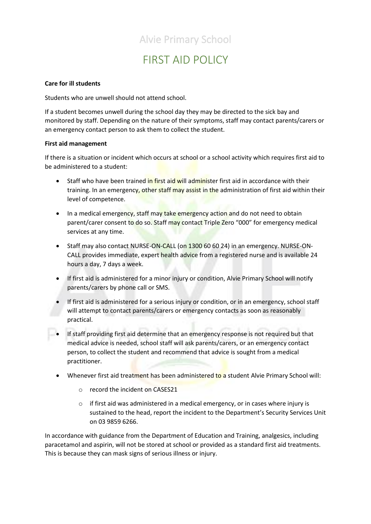### Alvie Primary School

# FIRST AID POLICY

### **Care for ill students**

Students who are unwell should not attend school.

If a student becomes unwell during the school day they may be directed to the sick bay and monitored by staff. Depending on the nature of their symptoms, staff may contact parents/carers or an emergency contact person to ask them to collect the student.

#### **First aid management**

If there is a situation or incident which occurs at school or a school activity which requires first aid to be administered to a student:

- Staff who have been trained in first aid will administer first aid in accordance with their training. In an emergency, other staff may assist in the administration of first aid within their level of competence.
- In a medical emergency, staff may take emergency action and do not need to obtain parent/carer consent to do so. Staff may contact Triple Zero "000" for emergency medical services at any time.
- Staff may also contact NURSE-ON-CALL (on 1300 60 60 24) in an emergency. NURSE-ON-CALL provides immediate, expert health advice from a registered nurse and is available 24 hours a day, 7 days a week.
- If first aid is administered for a minor injury or condition, Alvie Primary School will notify parents/carers by phone call or SMS.
- If first aid is administered for a serious injury or condition, or in an emergency, school staff will attempt to contact parents/carers or emergency contacts as soon as reasonably practical.
- If staff providing first aid determine that an emergency response is not required but that medical advice is needed, school staff will ask parents/carers, or an emergency contact person, to collect the student and recommend that advice is sought from a medical practitioner.
	- Whenever first aid treatment has been administered to a student Alvie Primary School will:
		- o record the incident on CASES21
		- $\circ$  if first aid was administered in a medical emergency, or in cases where injury is sustained to the head, report the incident to the Department's Security Services Unit on 03 9859 6266.

In accordance with guidance from the Department of Education and Training, analgesics, including paracetamol and aspirin, will not be stored at school or provided as a standard first aid treatments. This is because they can mask signs of serious illness or injury.